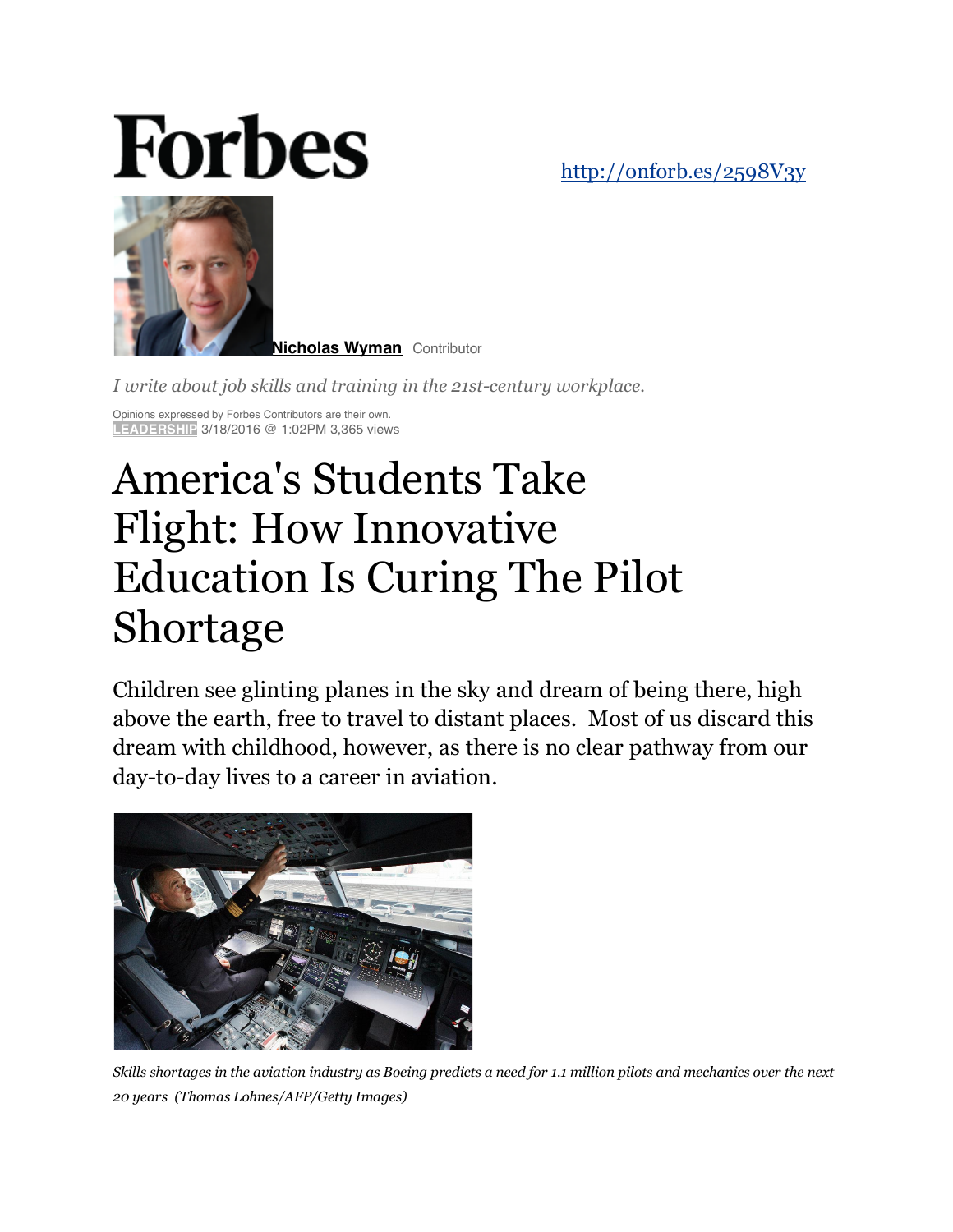## **Forbes**

http://onforb.es/2598V3y



**Nicholas Wyman** Contributor

*I write about job skills and training in the 21st-century workplace.*

Opinions expressed by Forbes Contributors are their own. **LEADERSHIP** 3/18/2016 @ 1:02PM 3,365 views

## America's Students Take Flight: How Innovative Education Is Curing The Pilot Shortage

Children see glinting planes in the sky and dream of being there, high above the earth, free to travel to distant places. Most of us discard this dream with childhood, however, as there is no clear pathway from our day-to-day lives to a career in aviation.



*Skills shortages in the aviation industry as Boeing predicts a need for 1.1 million pilots and mechanics over the next 20 years (Thomas Lohnes/AFP/Getty Images)*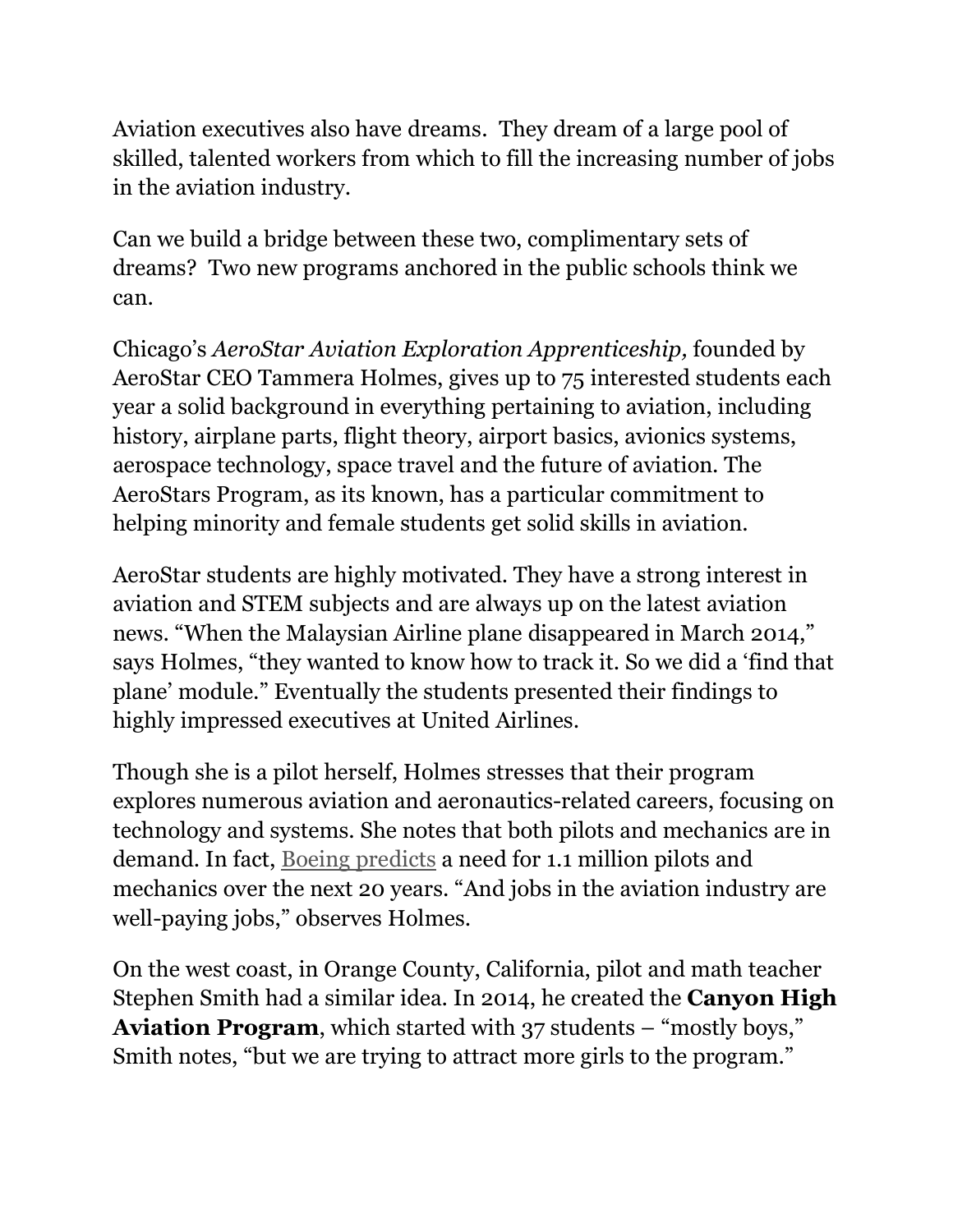Aviation executives also have dreams. They dream of a large pool of skilled, talented workers from which to fill the increasing number of jobs in the aviation industry.

Can we build a bridge between these two, complimentary sets of dreams? Two new programs anchored in the public schools think we can.

Chicago's *AeroStar Aviation Exploration Apprenticeship,* founded by AeroStar CEO Tammera Holmes, gives up to 75 interested students each year a solid background in everything pertaining to aviation, including history, airplane parts, flight theory, airport basics, avionics systems, aerospace technology, space travel and the future of aviation. The AeroStars Program, as its known, has a particular commitment to helping minority and female students get solid skills in aviation.

AeroStar students are highly motivated. They have a strong interest in aviation and STEM subjects and are always up on the latest aviation news. "When the Malaysian Airline plane disappeared in March 2014," says Holmes, "they wanted to know how to track it. So we did a 'find that plane' module." Eventually the students presented their findings to highly impressed executives at United Airlines.

Though she is a pilot herself, Holmes stresses that their program explores numerous aviation and aeronautics-related careers, focusing on technology and systems. She notes that both pilots and mechanics are in demand. In fact, Boeing predicts a need for 1.1 million pilots and mechanics over the next 20 years. "And jobs in the aviation industry are well-paying jobs," observes Holmes.

On the west coast, in Orange County, California, pilot and math teacher Stephen Smith had a similar idea. In 2014, he created the **Canyon High Aviation Program**, which started with 37 students – "mostly boys," Smith notes, "but we are trying to attract more girls to the program."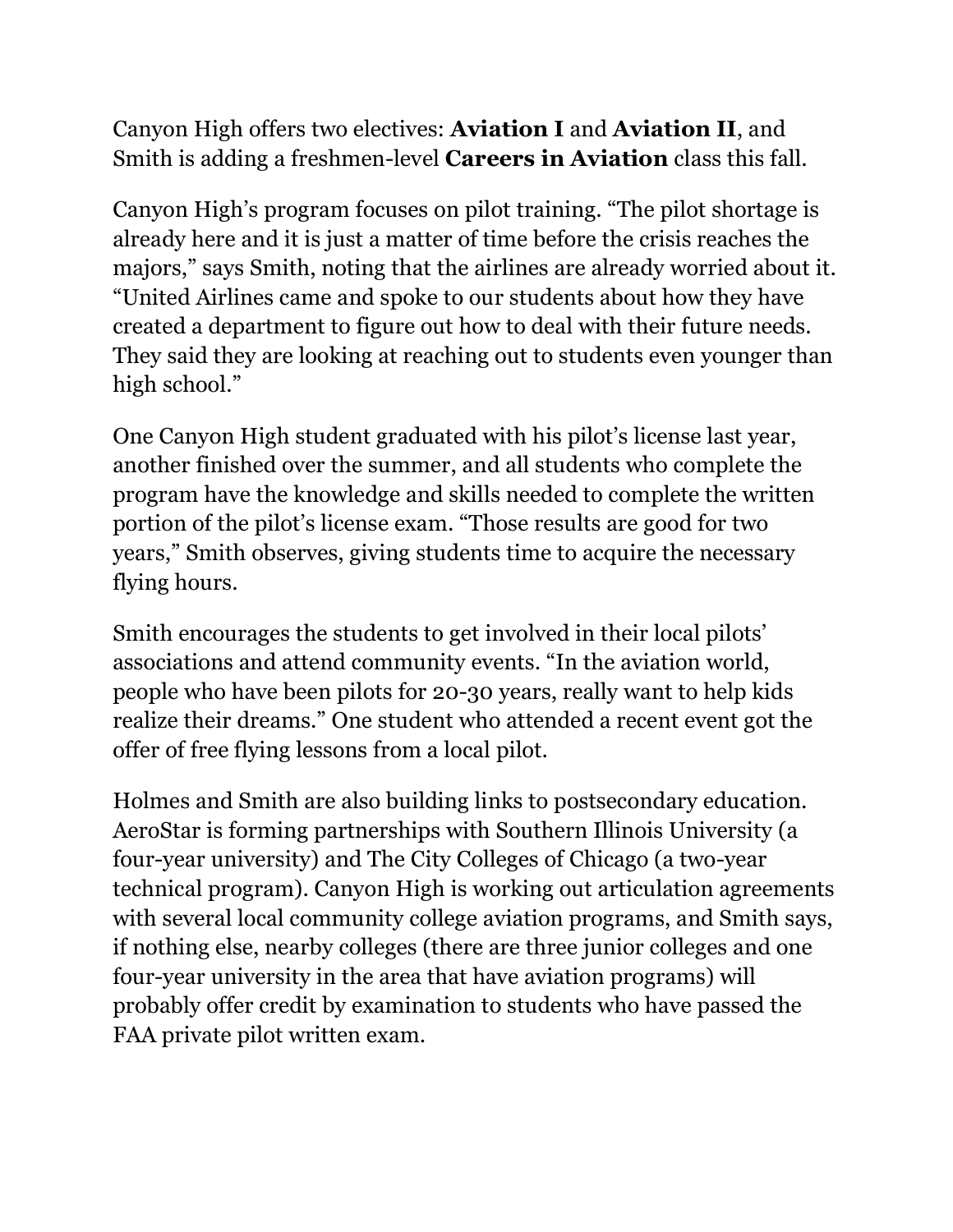Canyon High offers two electives: **Aviation I** and **Aviation II**, and Smith is adding a freshmen-level **Careers in Aviation** class this fall.

Canyon High's program focuses on pilot training. "The pilot shortage is already here and it is just a matter of time before the crisis reaches the majors," says Smith, noting that the airlines are already worried about it. "United Airlines came and spoke to our students about how they have created a department to figure out how to deal with their future needs. They said they are looking at reaching out to students even younger than high school."

One Canyon High student graduated with his pilot's license last year, another finished over the summer, and all students who complete the program have the knowledge and skills needed to complete the written portion of the pilot's license exam. "Those results are good for two years," Smith observes, giving students time to acquire the necessary flying hours.

Smith encourages the students to get involved in their local pilots' associations and attend community events. "In the aviation world, people who have been pilots for 20-30 years, really want to help kids realize their dreams." One student who attended a recent event got the offer of free flying lessons from a local pilot.

Holmes and Smith are also building links to postsecondary education. AeroStar is forming partnerships with Southern Illinois University (a four-year university) and The City Colleges of Chicago (a two-year technical program). Canyon High is working out articulation agreements with several local community college aviation programs, and Smith says, if nothing else, nearby colleges (there are three junior colleges and one four-year university in the area that have aviation programs) will probably offer credit by examination to students who have passed the FAA private pilot written exam.